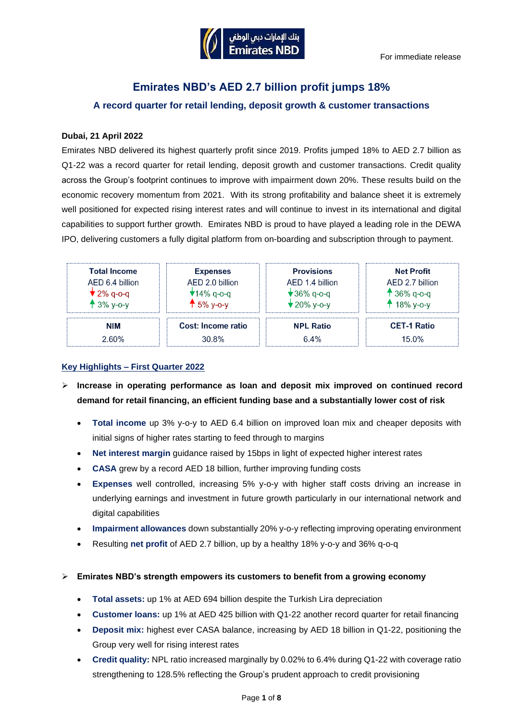

# **Emirates NBD's AED 2.7 billion profit jumps 18% A record quarter for retail lending, deposit growth & customer transactions**

### **Dubai, 21 April 2022**

Emirates NBD delivered its highest quarterly profit since 2019. Profits jumped 18% to AED 2.7 billion as Q1-22 was a record quarter for retail lending, deposit growth and customer transactions. Credit quality across the Group's footprint continues to improve with impairment down 20%. These results build on the economic recovery momentum from 2021. With its strong profitability and balance sheet it is extremely well positioned for expected rising interest rates and will continue to invest in its international and digital capabilities to support further growth. Emirates NBD is proud to have played a leading role in the DEWA IPO, delivering customers a fully digital platform from on-boarding and subscription through to payment.

| <b>Total Income</b><br>AED 6.4 billion<br>$\blacktriangledown$ 2% q-o-q<br>$+3\%$ y-o-y | <b>Expenses</b><br>AED 2.0 billion<br>$\star$ 14% q-o-q<br>$45%$ y-o-y | <b>Provisions</b><br>AED 1.4 billion<br><b>★36% q-o-q</b><br>$\bigstar$ 20% y-o-y | <b>Net Profit</b><br>AFD 2.7 billion<br>$136\%$ q-o-q<br>$418\% y-o-y$ |
|-----------------------------------------------------------------------------------------|------------------------------------------------------------------------|-----------------------------------------------------------------------------------|------------------------------------------------------------------------|
| NIM                                                                                     | Cost: Income ratio                                                     | <b>NPL Ratio</b>                                                                  | <b>CET-1 Ratio</b>                                                     |
| 2.60%                                                                                   | 30.8%                                                                  | 6.4%                                                                              | 15.0%                                                                  |

### **Key Highlights – First Quarter 2022**

- ➢ **Increase in operating performance as loan and deposit mix improved on continued record demand for retail financing, an efficient funding base and a substantially lower cost of risk**
	- **Total income** up 3% y-o-y to AED 6.4 billion on improved loan mix and cheaper deposits with initial signs of higher rates starting to feed through to margins
	- **Net interest margin** guidance raised by 15bps in light of expected higher interest rates
	- **CASA** grew by a record AED 18 billion, further improving funding costs
	- **Expenses** well controlled, increasing 5% y-o-y with higher staff costs driving an increase in underlying earnings and investment in future growth particularly in our international network and digital capabilities
	- **Impairment allowances** down substantially 20% y-o-y reflecting improving operating environment
	- Resulting **net profit** of AED 2.7 billion, up by a healthy 18% y-o-y and 36% q-o-q
- ➢ **Emirates NBD's strength empowers its customers to benefit from a growing economy**
	- **Total assets:** up 1% at AED 694 billion despite the Turkish Lira depreciation
	- **Customer loans:** up 1% at AED 425 billion with Q1-22 another record quarter for retail financing
	- **Deposit mix:** highest ever CASA balance, increasing by AED 18 billion in Q1-22, positioning the Group very well for rising interest rates
	- **Credit quality:** NPL ratio increased marginally by 0.02% to 6.4% during Q1-22 with coverage ratio strengthening to 128.5% reflecting the Group's prudent approach to credit provisioning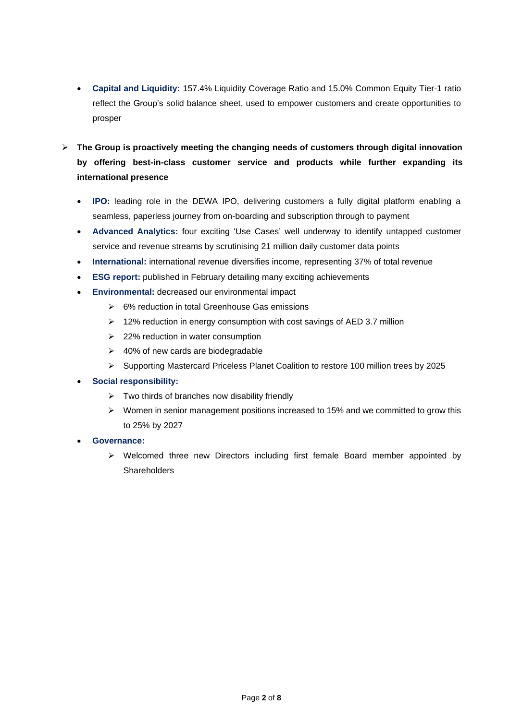- **Capital and Liquidity:** 157.4% Liquidity Coverage Ratio and 15.0% Common Equity Tier-1 ratio reflect the Group's solid balance sheet, used to empower customers and create opportunities to prosper
- ➢ **The Group is proactively meeting the changing needs of customers through digital innovation by offering best-in-class customer service and products while further expanding its international presence** 
	- **IPO:** leading role in the DEWA IPO, delivering customers a fully digital platform enabling a seamless, paperless journey from on-boarding and subscription through to payment
	- **Advanced Analytics:** four exciting 'Use Cases' well underway to identify untapped customer service and revenue streams by scrutinising 21 million daily customer data points
	- **International:** international revenue diversifies income, representing 37% of total revenue
	- **ESG report:** published in February detailing many exciting achievements
	- **Environmental:** decreased our environmental impact
		- $\geq$  6% reduction in total Greenhouse Gas emissions
		- ➢ 12% reduction in energy consumption with cost savings of AED 3.7 million
		- ➢ 22% reduction in water consumption
		- ➢ 40% of new cards are biodegradable
		- ➢ Supporting Mastercard Priceless Planet Coalition to restore 100 million trees by 2025

## • **Social responsibility:**

- $\triangleright$  Two thirds of branches now disability friendly
- ➢ Women in senior management positions increased to 15% and we committed to grow this to 25% by 2027
- **Governance:**
	- $\triangleright$  Welcomed three new Directors including first female Board member appointed by **Shareholders**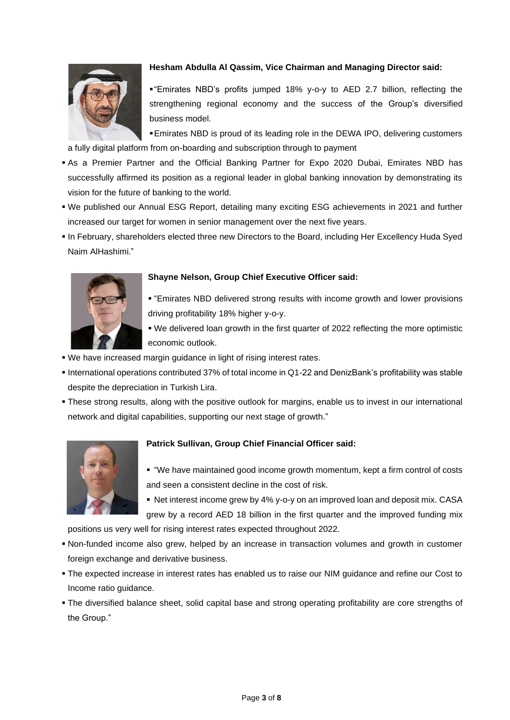

### **Hesham Abdulla Al Qassim, Vice Chairman and Managing Director said:**

▪"Emirates NBD's profits jumped 18% y-o-y to AED 2.7 billion, reflecting the strengthening regional economy and the success of the Group's diversified business model.

▪Emirates NBD is proud of its leading role in the DEWA IPO, delivering customers a fully digital platform from on-boarding and subscription through to payment

- **.** As a Premier Partner and the Official Banking Partner for Expo 2020 Dubai, Emirates NBD has successfully affirmed its position as a regional leader in global banking innovation by demonstrating its vision for the future of banking to the world.
- We published our Annual ESG Report, detailing many exciting ESG achievements in 2021 and further increased our target for women in senior management over the next five years.
- In February, shareholders elected three new Directors to the Board, including Her Excellency Huda Syed Naim AlHashimi."



### **Shayne Nelson, Group Chief Executive Officer said:**

▪ "Emirates NBD delivered strong results with income growth and lower provisions driving profitability 18% higher y-o-y.

. We delivered loan growth in the first quarter of 2022 reflecting the more optimistic economic outlook.

- We have increased margin guidance in light of rising interest rates.
- International operations contributed 37% of total income in Q1-22 and DenizBank's profitability was stable despite the depreciation in Turkish Lira.
- These strong results, along with the positive outlook for margins, enable us to invest in our international network and digital capabilities, supporting our next stage of growth."



## **Patrick Sullivan, Group Chief Financial Officer said:**

■ "We have maintained good income growth momentum, kept a firm control of costs and seen a consistent decline in the cost of risk.

■ Net interest income grew by 4% y-o-y on an improved loan and deposit mix. CASA grew by a record AED 18 billion in the first quarter and the improved funding mix

positions us very well for rising interest rates expected throughout 2022.

- Non-funded income also grew, helped by an increase in transaction volumes and growth in customer foreign exchange and derivative business.
- **The expected increase in interest rates has enabled us to raise our NIM guidance and refine our Cost to** Income ratio guidance.
- The diversified balance sheet, solid capital base and strong operating profitability are core strengths of the Group."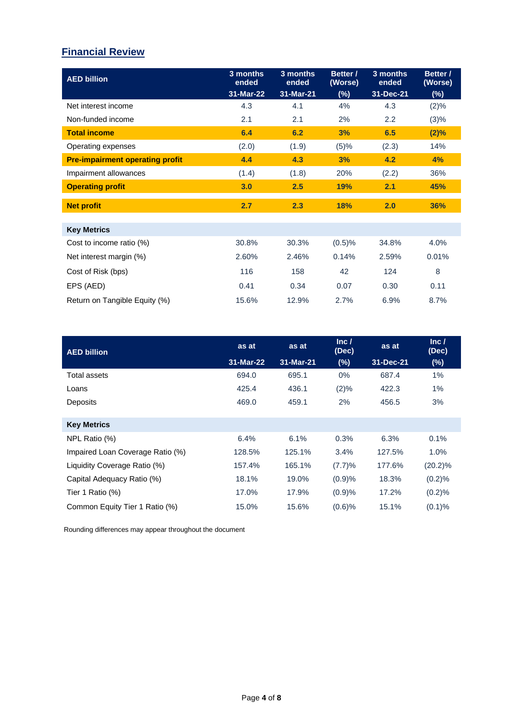# **Financial Review**

| <b>AED billion</b>                     | 3 months<br>ended<br>31-Mar-22 | 3 months<br>ended<br>31-Mar-21 | Better /<br>(Worse)<br>$(\%)$ | 3 months<br>ended<br>31-Dec-21 | Better /<br>(Worse)<br>$(\%)$ |
|----------------------------------------|--------------------------------|--------------------------------|-------------------------------|--------------------------------|-------------------------------|
| Net interest income                    | 4.3                            | 4.1                            | 4%                            | 4.3                            | $(2)\%$                       |
| Non-funded income                      | 2.1                            | 2.1                            | 2%                            | 2.2                            | (3)%                          |
| <b>Total income</b>                    | 6.4                            | 6.2                            | 3%                            | 6.5                            | $(2)\%$                       |
| Operating expenses                     | (2.0)                          | (1.9)                          | (5)%                          | (2.3)                          | 14%                           |
| <b>Pre-impairment operating profit</b> | 4.4                            | 4.3                            | 3%                            | 4.2                            | 4%                            |
| Impairment allowances                  | (1.4)                          | (1.8)                          | 20%                           | (2.2)                          | 36%                           |
| <b>Operating profit</b>                | 3.0                            | 2.5                            | 19%                           | 2.1                            | 45%                           |
| <b>Net profit</b>                      | 2.7                            | 2.3                            | 18%                           | 2.0                            | 36%                           |
| <b>Key Metrics</b>                     |                                |                                |                               |                                |                               |
| Cost to income ratio (%)               | 30.8%                          | 30.3%                          | (0.5)%                        | 34.8%                          | 4.0%                          |
| Net interest margin (%)                | 2.60%                          | 2.46%                          | 0.14%                         | 2.59%                          | 0.01%                         |
| Cost of Risk (bps)                     | 116                            | 158                            | 42                            | 124                            | 8                             |
| EPS (AED)                              | 0.41                           | 0.34                           | 0.07                          | 0.30                           | 0.11                          |
| Return on Tangible Equity (%)          | 15.6%                          | 12.9%                          | 2.7%                          | 6.9%                           | 8.7%                          |

| <b>AED billion</b>               | as at     | as at     | Inc /<br>(Dec) | as at     | Inc /<br>(Dec) |
|----------------------------------|-----------|-----------|----------------|-----------|----------------|
|                                  | 31-Mar-22 | 31-Mar-21 | $(\%)$         | 31-Dec-21 | (%)            |
| Total assets                     | 694.0     | 695.1     | $0\%$          | 687.4     | 1%             |
| Loans                            | 425.4     | 436.1     | $(2)\%$        | 422.3     | 1%             |
| Deposits                         | 469.0     | 459.1     | 2%             | 456.5     | 3%             |
|                                  |           |           |                |           |                |
| <b>Key Metrics</b>               |           |           |                |           |                |
| NPL Ratio (%)                    | 6.4%      | 6.1%      | 0.3%           | 6.3%      | 0.1%           |
| Impaired Loan Coverage Ratio (%) | 128.5%    | 125.1%    | 3.4%           | 127.5%    | $1.0\%$        |
| Liquidity Coverage Ratio (%)     | 157.4%    | 165.1%    | (7.7)%         | 177.6%    | $(20.2)\%$     |
| Capital Adequacy Ratio (%)       | 18.1%     | 19.0%     | (0.9)%         | 18.3%     | (0.2)%         |
| Tier 1 Ratio (%)                 | 17.0%     | 17.9%     | (0.9)%         | 17.2%     | (0.2)%         |
| Common Equity Tier 1 Ratio (%)   | 15.0%     | 15.6%     | $(0.6)$ %      | 15.1%     | $(0.1)\%$      |

Rounding differences may appear throughout the document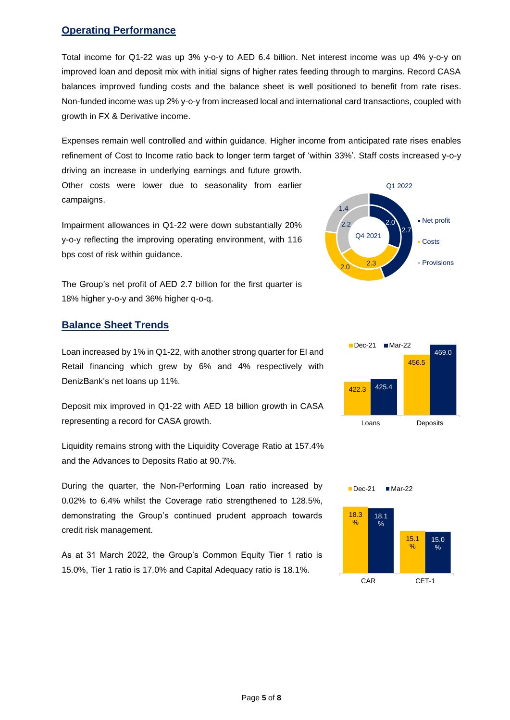# **Operating Performance**

Total income for Q1-22 was up 3% y-o-y to AED 6.4 billion. Net interest income was up 4% y-o-y on improved loan and deposit mix with initial signs of higher rates feeding through to margins. Record CASA balances improved funding costs and the balance sheet is well positioned to benefit from rate rises. Non-funded income was up 2% y-o-y from increased local and international card transactions, coupled with growth in FX & Derivative income.

Expenses remain well controlled and within guidance. Higher income from anticipated rate rises enables refinement of Cost to Income ratio back to longer term target of 'within 33%'. Staff costs increased y-o-y driving an increase in underlying earnings and future growth.

Other costs were lower due to seasonality from earlier campaigns.

Impairment allowances in Q1-22 were down substantially 20% y-o-y reflecting the improving operating environment, with 116 bps cost of risk within guidance.

The Group's net profit of AED 2.7 billion for the first quarter is 18% higher y-o-y and 36% higher q-o-q.

# **Balance Sheet Trends**

Loan increased by 1% in Q1-22, with another strong quarter for EI and Retail financing which grew by 6% and 4% respectively with DenizBank's net loans up 11%.

Deposit mix improved in Q1-22 with AED 18 billion growth in CASA representing a record for CASA growth.

Liquidity remains strong with the Liquidity Coverage Ratio at 157.4% and the Advances to Deposits Ratio at 90.7%.

During the quarter, the Non-Performing Loan ratio increased by 0.02% to 6.4% whilst the Coverage ratio strengthened to 128.5%, demonstrating the Group's continued prudent approach towards credit risk management.

As at 31 March 2022, the Group's Common Equity Tier 1 ratio is 15.0%, Tier 1 ratio is 17.0% and Capital Adequacy ratio is 18.1%.





 $\blacksquare$  Dec-21  $\blacksquare$  Mar-22

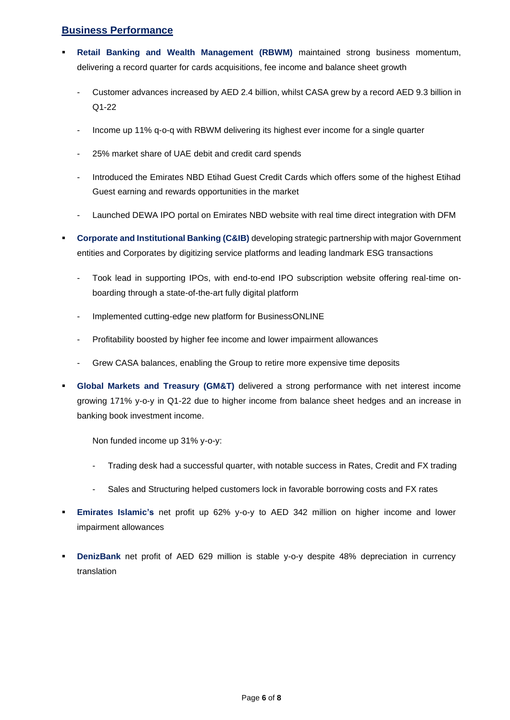# **Business Performance**

- **Retail Banking and Wealth Management (RBWM)** maintained strong business momentum, delivering a record quarter for cards acquisitions, fee income and balance sheet growth
	- Customer advances increased by AED 2.4 billion, whilst CASA grew by a record AED 9.3 billion in Q1-22
	- Income up 11% q-o-q with RBWM delivering its highest ever income for a single quarter
	- 25% market share of UAE debit and credit card spends
	- Introduced the Emirates NBD Etihad Guest Credit Cards which offers some of the highest Etihad Guest earning and rewards opportunities in the market
	- Launched DEWA IPO portal on Emirates NBD website with real time direct integration with DFM
- **Corporate and Institutional Banking (C&IB)** developing strategic partnership with major Government entities and Corporates by digitizing service platforms and leading landmark ESG transactions
	- Took lead in supporting IPOs, with end-to-end IPO subscription website offering real-time onboarding through a state-of-the-art fully digital platform
	- Implemented cutting-edge new platform for BusinessONLINE
	- Profitability boosted by higher fee income and lower impairment allowances
	- Grew CASA balances, enabling the Group to retire more expensive time deposits
- **Global Markets and Treasury (GM&T)** delivered a strong performance with net interest income growing 171% y-o-y in Q1-22 due to higher income from balance sheet hedges and an increase in banking book investment income.

Non funded income up 31% y-o-y:

- Trading desk had a successful quarter, with notable success in Rates, Credit and FX trading
- Sales and Structuring helped customers lock in favorable borrowing costs and FX rates
- **Emirates Islamic's** net profit up 62% y-o-y to AED 342 million on higher income and lower impairment allowances
- **DenizBank** net profit of AED 629 million is stable y-o-y despite 48% depreciation in currency translation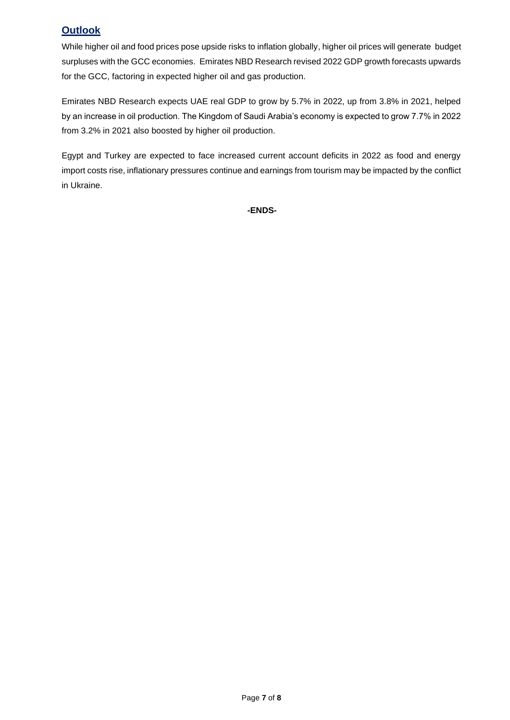# **Outlook**

While higher oil and food prices pose upside risks to inflation globally, higher oil prices will generate budget surpluses with the GCC economies. Emirates NBD Research revised 2022 GDP growth forecasts upwards for the GCC, factoring in expected higher oil and gas production.

Emirates NBD Research expects UAE real GDP to grow by 5.7% in 2022, up from 3.8% in 2021, helped by an increase in oil production. The Kingdom of Saudi Arabia's economy is expected to grow 7.7% in 2022 from 3.2% in 2021 also boosted by higher oil production.

Egypt and Turkey are expected to face increased current account deficits in 2022 as food and energy import costs rise, inflationary pressures continue and earnings from tourism may be impacted by the conflict in Ukraine.

**-ENDS-**